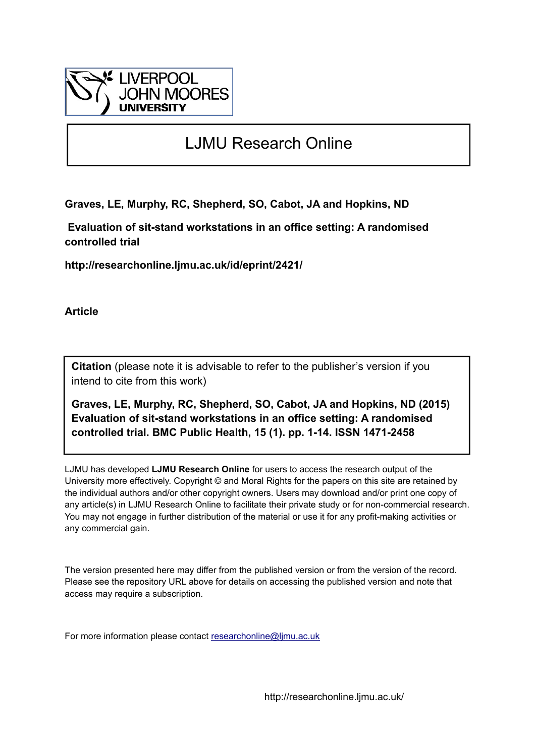

# LJMU Research Online

**Graves, LE, Murphy, RC, Shepherd, SO, Cabot, JA and Hopkins, ND**

 **Evaluation of sit-stand workstations in an office setting: A randomised controlled trial**

**http://researchonline.ljmu.ac.uk/id/eprint/2421/**

**Article**

**Citation** (please note it is advisable to refer to the publisher's version if you intend to cite from this work)

**Graves, LE, Murphy, RC, Shepherd, SO, Cabot, JA and Hopkins, ND (2015) Evaluation of sit-stand workstations in an office setting: A randomised controlled trial. BMC Public Health, 15 (1). pp. 1-14. ISSN 1471-2458** 

LJMU has developed **[LJMU Research Online](http://researchonline.ljmu.ac.uk/)** for users to access the research output of the University more effectively. Copyright © and Moral Rights for the papers on this site are retained by the individual authors and/or other copyright owners. Users may download and/or print one copy of any article(s) in LJMU Research Online to facilitate their private study or for non-commercial research. You may not engage in further distribution of the material or use it for any profit-making activities or any commercial gain.

The version presented here may differ from the published version or from the version of the record. Please see the repository URL above for details on accessing the published version and note that access may require a subscription.

For more information please contact [researchonline@ljmu.ac.uk](mailto:researchonline@ljmu.ac.uk)

http://researchonline.ljmu.ac.uk/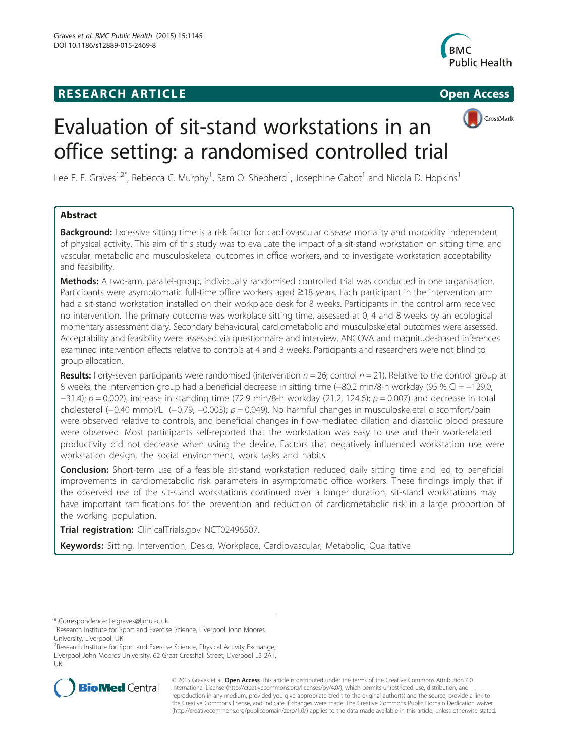### **RESEARCH ARTICLE Example 2008 CONSIDERING CONSIDERING CONSIDERING CONSIDERING CONSIDERING CONSIDERING CONSIDERING CONSIDERING CONSIDERING CONSIDERING CONSIDERING CONSIDERING CONSIDERING CONSIDERING CONSIDERING CONSIDE**



CrossMark

# Evaluation of sit-stand workstations in an office setting: a randomised controlled trial

Lee E. F. Graves<sup>1,2\*</sup>, Rebecca C. Murphy<sup>1</sup>, Sam O. Shepherd<sup>1</sup>, Josephine Cabot<sup>1</sup> and Nicola D. Hopkins<sup>1</sup>

#### Abstract

**Background:** Excessive sitting time is a risk factor for cardiovascular disease mortality and morbidity independent of physical activity. This aim of this study was to evaluate the impact of a sit-stand workstation on sitting time, and vascular, metabolic and musculoskeletal outcomes in office workers, and to investigate workstation acceptability and feasibility.

Methods: A two-arm, parallel-group, individually randomised controlled trial was conducted in one organisation. Participants were asymptomatic full-time office workers aged ≥18 years. Each participant in the intervention arm had a sit-stand workstation installed on their workplace desk for 8 weeks. Participants in the control arm received no intervention. The primary outcome was workplace sitting time, assessed at 0, 4 and 8 weeks by an ecological momentary assessment diary. Secondary behavioural, cardiometabolic and musculoskeletal outcomes were assessed. Acceptability and feasibility were assessed via questionnaire and interview. ANCOVA and magnitude-based inferences examined intervention effects relative to controls at 4 and 8 weeks. Participants and researchers were not blind to group allocation.

**Results:** Forty-seven participants were randomised (intervention  $n = 26$ ; control  $n = 21$ ). Relative to the control group at 8 weeks, the intervention group had a beneficial decrease in sitting time (−80.2 min/8-h workday (95 % CI = −129.0,  $-31.4$ );  $p = 0.002$ ), increase in standing time (72.9 min/8-h workday (21.2, 124.6);  $p = 0.007$ ) and decrease in total cholesterol (−0.40 mmol/L (−0.79, −0.003); p = 0.049). No harmful changes in musculoskeletal discomfort/pain were observed relative to controls, and beneficial changes in flow-mediated dilation and diastolic blood pressure were observed. Most participants self-reported that the workstation was easy to use and their work-related productivity did not decrease when using the device. Factors that negatively influenced workstation use were workstation design, the social environment, work tasks and habits.

**Conclusion:** Short-term use of a feasible sit-stand workstation reduced daily sitting time and led to beneficial improvements in cardiometabolic risk parameters in asymptomatic office workers. These findings imply that if the observed use of the sit-stand workstations continued over a longer duration, sit-stand workstations may have important ramifications for the prevention and reduction of cardiometabolic risk in a large proportion of the working population.

Trial registration: ClinicalTrials.gov [NCT02496507.](https://clinicaltrials.gov/ct2/show/NCT02496507)

Keywords: Sitting, Intervention, Desks, Workplace, Cardiovascular, Metabolic, Qualitative

<sup>&</sup>lt;sup>2</sup> Research Institute for Sport and Exercise Science, Physical Activity Exchange, Liverpool John Moores University, 62 Great Crosshall Street, Liverpool L3 2AT, UK



© 2015 Graves et al. Open Access This article is distributed under the terms of the Creative Commons Attribution 4.0 International License [\(http://creativecommons.org/licenses/by/4.0/](http://creativecommons.org/licenses/by/4.0/)), which permits unrestricted use, distribution, and reproduction in any medium, provided you give appropriate credit to the original author(s) and the source, provide a link to the Creative Commons license, and indicate if changes were made. The Creative Commons Public Domain Dedication waiver [\(http://creativecommons.org/publicdomain/zero/1.0/](http://creativecommons.org/publicdomain/zero/1.0/)) applies to the data made available in this article, unless otherwise stated.

<sup>\*</sup> Correspondence: [l.e.graves@ljmu.ac.uk](mailto:l.e.graves@ljmu.ac.uk) <sup>1</sup>

<sup>&</sup>lt;sup>1</sup> Research Institute for Sport and Exercise Science, Liverpool John Moores University, Liverpool, UK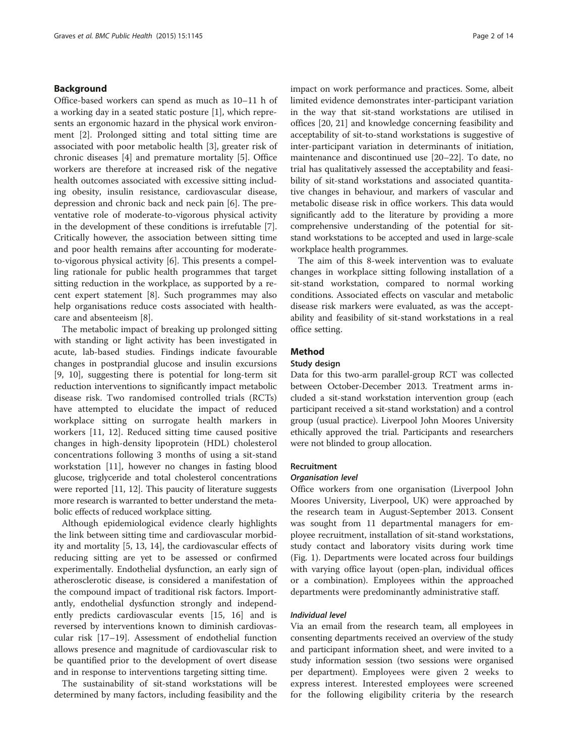#### Background

Office-based workers can spend as much as 10–11 h of a working day in a seated static posture [[1\]](#page-13-0), which represents an ergonomic hazard in the physical work environment [\[2](#page-13-0)]. Prolonged sitting and total sitting time are associated with poor metabolic health [\[3](#page-13-0)], greater risk of chronic diseases [[4\]](#page-13-0) and premature mortality [[5\]](#page-13-0). Office workers are therefore at increased risk of the negative health outcomes associated with excessive sitting including obesity, insulin resistance, cardiovascular disease, depression and chronic back and neck pain [\[6](#page-13-0)]. The preventative role of moderate-to-vigorous physical activity in the development of these conditions is irrefutable [\[7](#page-13-0)]. Critically however, the association between sitting time and poor health remains after accounting for moderateto-vigorous physical activity [[6\]](#page-13-0). This presents a compelling rationale for public health programmes that target sitting reduction in the workplace, as supported by a recent expert statement [\[8](#page-13-0)]. Such programmes may also help organisations reduce costs associated with healthcare and absenteeism [\[8](#page-13-0)].

The metabolic impact of breaking up prolonged sitting with standing or light activity has been investigated in acute, lab-based studies. Findings indicate favourable changes in postprandial glucose and insulin excursions [[9, 10\]](#page-13-0), suggesting there is potential for long-term sit reduction interventions to significantly impact metabolic disease risk. Two randomised controlled trials (RCTs) have attempted to elucidate the impact of reduced workplace sitting on surrogate health markers in workers [\[11](#page-13-0), [12\]](#page-13-0). Reduced sitting time caused positive changes in high-density lipoprotein (HDL) cholesterol concentrations following 3 months of using a sit-stand workstation [\[11](#page-13-0)], however no changes in fasting blood glucose, triglyceride and total cholesterol concentrations were reported [[11](#page-13-0), [12](#page-13-0)]. This paucity of literature suggests more research is warranted to better understand the metabolic effects of reduced workplace sitting.

Although epidemiological evidence clearly highlights the link between sitting time and cardiovascular morbidity and mortality [[5, 13, 14\]](#page-13-0), the cardiovascular effects of reducing sitting are yet to be assessed or confirmed experimentally. Endothelial dysfunction, an early sign of atherosclerotic disease, is considered a manifestation of the compound impact of traditional risk factors. Importantly, endothelial dysfunction strongly and independently predicts cardiovascular events [[15, 16](#page-13-0)] and is reversed by interventions known to diminish cardiovascular risk [[17](#page-13-0)–[19\]](#page-13-0). Assessment of endothelial function allows presence and magnitude of cardiovascular risk to be quantified prior to the development of overt disease and in response to interventions targeting sitting time.

The sustainability of sit-stand workstations will be determined by many factors, including feasibility and the impact on work performance and practices. Some, albeit limited evidence demonstrates inter-participant variation in the way that sit-stand workstations are utilised in offices [[20, 21\]](#page-13-0) and knowledge concerning feasibility and acceptability of sit-to-stand workstations is suggestive of inter-participant variation in determinants of initiation, maintenance and discontinued use [\[20](#page-13-0)–[22\]](#page-13-0). To date, no trial has qualitatively assessed the acceptability and feasibility of sit-stand workstations and associated quantitative changes in behaviour, and markers of vascular and metabolic disease risk in office workers. This data would significantly add to the literature by providing a more comprehensive understanding of the potential for sitstand workstations to be accepted and used in large-scale workplace health programmes.

The aim of this 8-week intervention was to evaluate changes in workplace sitting following installation of a sit-stand workstation, compared to normal working conditions. Associated effects on vascular and metabolic disease risk markers were evaluated, as was the acceptability and feasibility of sit-stand workstations in a real office setting.

#### Method

#### Study design

Data for this two-arm parallel-group RCT was collected between October-December 2013. Treatment arms included a sit-stand workstation intervention group (each participant received a sit-stand workstation) and a control group (usual practice). Liverpool John Moores University ethically approved the trial. Participants and researchers were not blinded to group allocation.

#### Recruitment

#### Organisation level

Office workers from one organisation (Liverpool John Moores University, Liverpool, UK) were approached by the research team in August-September 2013. Consent was sought from 11 departmental managers for employee recruitment, installation of sit-stand workstations, study contact and laboratory visits during work time (Fig. [1\)](#page-3-0). Departments were located across four buildings with varying office layout (open-plan, individual offices or a combination). Employees within the approached departments were predominantly administrative staff.

#### Individual level

Via an email from the research team, all employees in consenting departments received an overview of the study and participant information sheet, and were invited to a study information session (two sessions were organised per department). Employees were given 2 weeks to express interest. Interested employees were screened for the following eligibility criteria by the research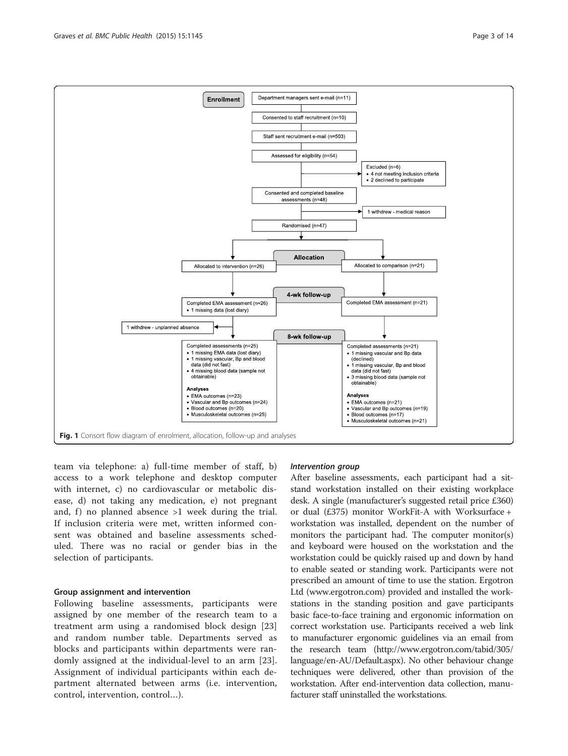<span id="page-3-0"></span>

team via telephone: a) full-time member of staff, b) access to a work telephone and desktop computer with internet, c) no cardiovascular or metabolic disease, d) not taking any medication, e) not pregnant and, f) no planned absence  $>1$  week during the trial. If inclusion criteria were met, written informed consent was obtained and baseline assessments scheduled. There was no racial or gender bias in the selection of participants.

#### Group assignment and intervention

Following baseline assessments, participants were assigned by one member of the research team to a treatment arm using a randomised block design [\[23](#page-13-0)] and random number table. Departments served as blocks and participants within departments were randomly assigned at the individual-level to an arm [[23](#page-13-0)]. Assignment of individual participants within each department alternated between arms (i.e. intervention, control, intervention, control…).

#### Intervention group

After baseline assessments, each participant had a sitstand workstation installed on their existing workplace desk. A single (manufacturer's suggested retail price £360) or dual (£375) monitor WorkFit-A with Worksurface + workstation was installed, dependent on the number of monitors the participant had. The computer monitor(s) and keyboard were housed on the workstation and the workstation could be quickly raised up and down by hand to enable seated or standing work. Participants were not prescribed an amount of time to use the station. Ergotron Ltd ([www.ergotron.com\)](http://www.ergotron.com/) provided and installed the workstations in the standing position and gave participants basic face-to-face training and ergonomic information on correct workstation use. Participants received a web link to manufacturer ergonomic guidelines via an email from the research team [\(http://www.ergotron.com/tabid/305/](http://www.ergotron.com/tabid/305/language/en-AU/Default.aspx) [language/en-AU/Default.aspx](http://www.ergotron.com/tabid/305/language/en-AU/Default.aspx)). No other behaviour change techniques were delivered, other than provision of the workstation. After end-intervention data collection, manufacturer staff uninstalled the workstations.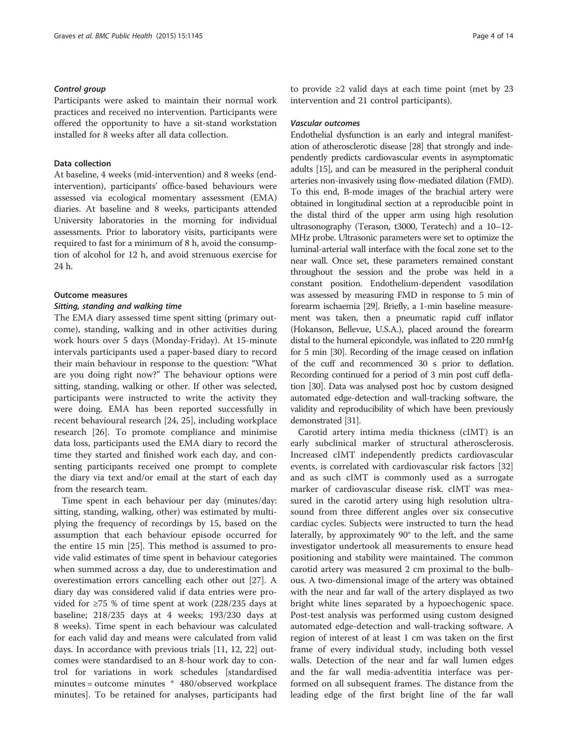#### Control group

Participants were asked to maintain their normal work practices and received no intervention. Participants were offered the opportunity to have a sit-stand workstation installed for 8 weeks after all data collection.

#### Data collection

At baseline, 4 weeks (mid-intervention) and 8 weeks (endintervention), participants' office-based behaviours were assessed via ecological momentary assessment (EMA) diaries. At baseline and 8 weeks, participants attended University laboratories in the morning for individual assessments. Prior to laboratory visits, participants were required to fast for a minimum of 8 h, avoid the consumption of alcohol for 12 h, and avoid strenuous exercise for 24 h.

#### Outcome measures

#### Sitting, standing and walking time

The EMA diary assessed time spent sitting (primary outcome), standing, walking and in other activities during work hours over 5 days (Monday-Friday). At 15-minute intervals participants used a paper-based diary to record their main behaviour in response to the question: "What are you doing right now?" The behaviour options were sitting, standing, walking or other. If other was selected, participants were instructed to write the activity they were doing. EMA has been reported successfully in recent behavioural research [\[24](#page-13-0), [25\]](#page-13-0), including workplace research [[26\]](#page-13-0). To promote compliance and minimise data loss, participants used the EMA diary to record the time they started and finished work each day, and consenting participants received one prompt to complete the diary via text and/or email at the start of each day from the research team.

Time spent in each behaviour per day (minutes/day: sitting, standing, walking, other) was estimated by multiplying the frequency of recordings by 15, based on the assumption that each behaviour episode occurred for the entire 15 min [[25\]](#page-13-0). This method is assumed to provide valid estimates of time spent in behaviour categories when summed across a day, due to underestimation and overestimation errors cancelling each other out [\[27](#page-13-0)]. A diary day was considered valid if data entries were provided for ≥75 % of time spent at work  $(228/235$  days at baseline; 218/235 days at 4 weeks; 193/230 days at 8 weeks). Time spent in each behaviour was calculated for each valid day and means were calculated from valid days. In accordance with previous trials [[11, 12, 22](#page-13-0)] outcomes were standardised to an 8-hour work day to control for variations in work schedules [standardised minutes = outcome minutes \* 480/observed workplace minutes]. To be retained for analyses, participants had

to provide ≥2 valid days at each time point (met by 23 intervention and 21 control participants).

#### Vascular outcomes

Endothelial dysfunction is an early and integral manifestation of atherosclerotic disease [\[28\]](#page-13-0) that strongly and independently predicts cardiovascular events in asymptomatic adults [\[15\]](#page-13-0), and can be measured in the peripheral conduit arteries non-invasively using flow-mediated dilation (FMD). To this end, B-mode images of the brachial artery were obtained in longitudinal section at a reproducible point in the distal third of the upper arm using high resolution ultrasonography (Terason, t3000, Teratech) and a 10–12- MHz probe. Ultrasonic parameters were set to optimize the luminal-arterial wall interface with the focal zone set to the near wall. Once set, these parameters remained constant throughout the session and the probe was held in a constant position. Endothelium-dependent vasodilation was assessed by measuring FMD in response to 5 min of forearm ischaemia [\[29](#page-13-0)]. Briefly, a 1-min baseline measurement was taken, then a pneumatic rapid cuff inflator (Hokanson, Bellevue, U.S.A.), placed around the forearm distal to the humeral epicondyle, was inflated to 220 mmHg for 5 min [\[30\]](#page-13-0). Recording of the image ceased on inflation of the cuff and recommenced 30 s prior to deflation. Recording continued for a period of 3 min post cuff deflation [[30](#page-13-0)]. Data was analysed post hoc by custom designed automated edge-detection and wall-tracking software, the validity and reproducibility of which have been previously demonstrated [\[31\]](#page-13-0).

Carotid artery intima media thickness (cIMT) is an early subclinical marker of structural atherosclerosis. Increased cIMT independently predicts cardiovascular events, is correlated with cardiovascular risk factors [[32](#page-13-0)] and as such cIMT is commonly used as a surrogate marker of cardiovascular disease risk. cIMT was measured in the carotid artery using high resolution ultrasound from three different angles over six consecutive cardiac cycles. Subjects were instructed to turn the head laterally, by approximately 90° to the left, and the same investigator undertook all measurements to ensure head positioning and stability were maintained. The common carotid artery was measured 2 cm proximal to the bulbous. A two-dimensional image of the artery was obtained with the near and far wall of the artery displayed as two bright white lines separated by a hypoechogenic space. Post-test analysis was performed using custom designed automated edge-detection and wall-tracking software. A region of interest of at least 1 cm was taken on the first frame of every individual study, including both vessel walls. Detection of the near and far wall lumen edges and the far wall media-adventitia interface was performed on all subsequent frames. The distance from the leading edge of the first bright line of the far wall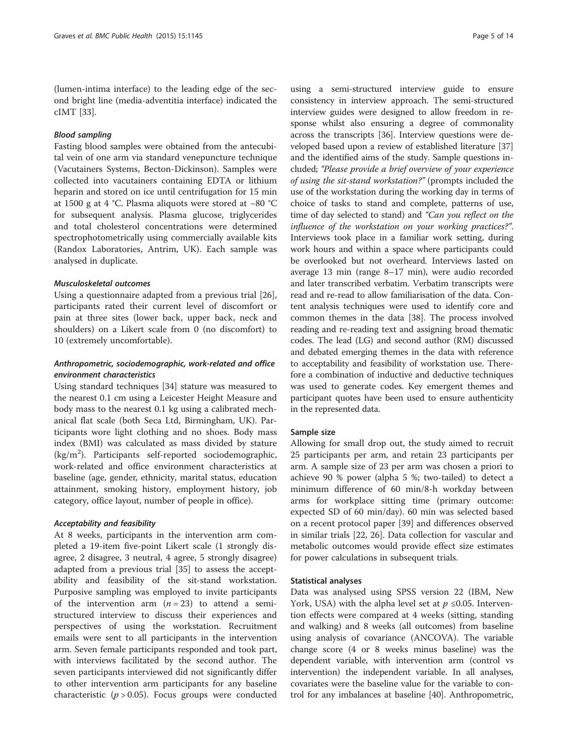(lumen-intima interface) to the leading edge of the second bright line (media-adventitia interface) indicated the cIMT [\[33\]](#page-13-0).

#### Blood sampling

Fasting blood samples were obtained from the antecubital vein of one arm via standard venepuncture technique (Vacutainers Systems, Becton-Dickinson). Samples were collected into vacutainers containing EDTA or lithium heparin and stored on ice until centrifugation for 15 min at 1500 g at 4 °C. Plasma aliquots were stored at −80 °C for subsequent analysis. Plasma glucose, triglycerides and total cholesterol concentrations were determined spectrophotometrically using commercially available kits (Randox Laboratories, Antrim, UK). Each sample was analysed in duplicate.

#### Musculoskeletal outcomes

Using a questionnaire adapted from a previous trial [\[26](#page-13-0)], participants rated their current level of discomfort or pain at three sites (lower back, upper back, neck and shoulders) on a Likert scale from 0 (no discomfort) to 10 (extremely uncomfortable).

#### Anthropometric, sociodemographic, work-related and office environment characteristics

Using standard techniques [\[34\]](#page-13-0) stature was measured to the nearest 0.1 cm using a Leicester Height Measure and body mass to the nearest 0.1 kg using a calibrated mechanical flat scale (both Seca Ltd, Birmingham, UK). Participants wore light clothing and no shoes. Body mass index (BMI) was calculated as mass divided by stature  $(kg/m<sup>2</sup>)$ . Participants self-reported sociodemographic, work-related and office environment characteristics at baseline (age, gender, ethnicity, marital status, education attainment, smoking history, employment history, job category, office layout, number of people in office).

#### Acceptability and feasibility

At 8 weeks, participants in the intervention arm completed a 19-item five-point Likert scale (1 strongly disagree, 2 disagree, 3 neutral, 4 agree, 5 strongly disagree) adapted from a previous trial [\[35\]](#page-13-0) to assess the acceptability and feasibility of the sit-stand workstation. Purposive sampling was employed to invite participants of the intervention arm  $(n = 23)$  to attend a semistructured interview to discuss their experiences and perspectives of using the workstation. Recruitment emails were sent to all participants in the intervention arm. Seven female participants responded and took part, with interviews facilitated by the second author. The seven participants interviewed did not significantly differ to other intervention arm participants for any baseline characteristic ( $p > 0.05$ ). Focus groups were conducted

using a semi-structured interview guide to ensure consistency in interview approach. The semi-structured interview guides were designed to allow freedom in response whilst also ensuring a degree of commonality across the transcripts [[36](#page-13-0)]. Interview questions were developed based upon a review of established literature [[37](#page-13-0)] and the identified aims of the study. Sample questions included; "Please provide a brief overview of your experience of using the sit-stand workstation?" (prompts included the use of the workstation during the working day in terms of choice of tasks to stand and complete, patterns of use, time of day selected to stand) and "Can you reflect on the influence of the workstation on your working practices?". Interviews took place in a familiar work setting, during work hours and within a space where participants could be overlooked but not overheard. Interviews lasted on average 13 min (range 8–17 min), were audio recorded and later transcribed verbatim. Verbatim transcripts were read and re-read to allow familiarisation of the data. Content analysis techniques were used to identify core and common themes in the data [\[38](#page-14-0)]. The process involved reading and re-reading text and assigning broad thematic codes. The lead (LG) and second author (RM) discussed and debated emerging themes in the data with reference to acceptability and feasibility of workstation use. Therefore a combination of inductive and deductive techniques was used to generate codes. Key emergent themes and participant quotes have been used to ensure authenticity in the represented data.

#### Sample size

Allowing for small drop out, the study aimed to recruit 25 participants per arm, and retain 23 participants per arm. A sample size of 23 per arm was chosen a priori to achieve 90 % power (alpha 5 %; two-tailed) to detect a minimum difference of 60 min/8-h workday between arms for workplace sitting time (primary outcome: expected SD of 60 min/day). 60 min was selected based on a recent protocol paper [[39\]](#page-14-0) and differences observed in similar trials [\[22](#page-13-0), [26](#page-13-0)]. Data collection for vascular and metabolic outcomes would provide effect size estimates for power calculations in subsequent trials.

#### Statistical analyses

Data was analysed using SPSS version 22 (IBM, New York, USA) with the alpha level set at  $p \le 0.05$ . Intervention effects were compared at 4 weeks (sitting, standing and walking) and 8 weeks (all outcomes) from baseline using analysis of covariance (ANCOVA). The variable change score (4 or 8 weeks minus baseline) was the dependent variable, with intervention arm (control vs intervention) the independent variable. In all analyses, covariates were the baseline value for the variable to control for any imbalances at baseline [[40](#page-14-0)]. Anthropometric,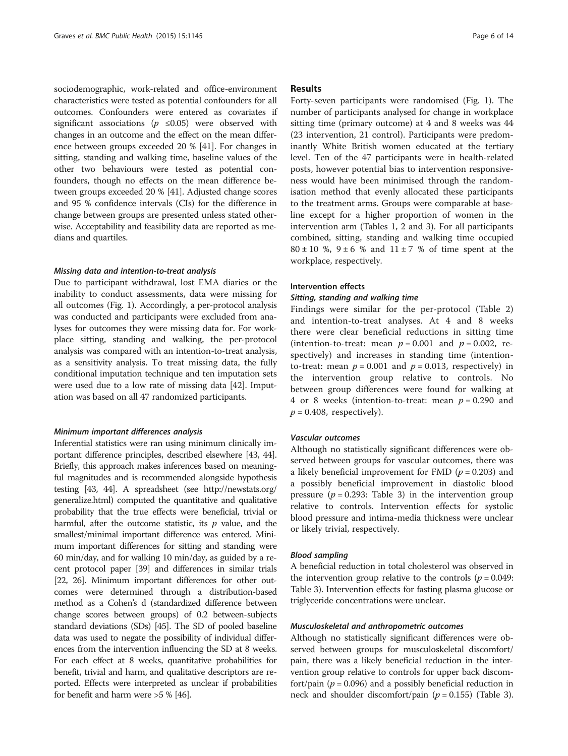sociodemographic, work-related and office-environment characteristics were tested as potential confounders for all outcomes. Confounders were entered as covariates if significant associations ( $p \le 0.05$ ) were observed with changes in an outcome and the effect on the mean difference between groups exceeded 20 % [\[41\]](#page-14-0). For changes in sitting, standing and walking time, baseline values of the other two behaviours were tested as potential confounders, though no effects on the mean difference between groups exceeded 20 % [\[41\]](#page-14-0). Adjusted change scores and 95 % confidence intervals (CIs) for the difference in change between groups are presented unless stated otherwise. Acceptability and feasibility data are reported as medians and quartiles.

#### Missing data and intention-to-treat analysis

Due to participant withdrawal, lost EMA diaries or the inability to conduct assessments, data were missing for all outcomes (Fig. [1\)](#page-3-0). Accordingly, a per-protocol analysis was conducted and participants were excluded from analyses for outcomes they were missing data for. For workplace sitting, standing and walking, the per-protocol analysis was compared with an intention-to-treat analysis, as a sensitivity analysis. To treat missing data, the fully conditional imputation technique and ten imputation sets were used due to a low rate of missing data [\[42\]](#page-14-0). Imputation was based on all 47 randomized participants.

#### Minimum important differences analysis

Inferential statistics were ran using minimum clinically important difference principles, described elsewhere [[43](#page-14-0), [44](#page-14-0)]. Briefly, this approach makes inferences based on meaningful magnitudes and is recommended alongside hypothesis testing [\[43, 44\]](#page-14-0). A spreadsheet (see [http://newstats.org/](http://newstats.org/generalize.html) [generalize.html](http://newstats.org/generalize.html)) computed the quantitative and qualitative probability that the true effects were beneficial, trivial or harmful, after the outcome statistic, its  $p$  value, and the smallest/minimal important difference was entered. Minimum important differences for sitting and standing were 60 min/day, and for walking 10 min/day, as guided by a recent protocol paper [\[39\]](#page-14-0) and differences in similar trials [[22](#page-13-0), [26\]](#page-13-0). Minimum important differences for other outcomes were determined through a distribution-based method as a Cohen's d (standardized difference between change scores between groups) of 0.2 between-subjects standard deviations (SDs) [\[45\]](#page-14-0). The SD of pooled baseline data was used to negate the possibility of individual differences from the intervention influencing the SD at 8 weeks. For each effect at 8 weeks, quantitative probabilities for benefit, trivial and harm, and qualitative descriptors are reported. Effects were interpreted as unclear if probabilities for benefit and harm were >5 % [\[46\]](#page-14-0).

#### Results

Forty-seven participants were randomised (Fig. [1\)](#page-3-0). The number of participants analysed for change in workplace sitting time (primary outcome) at 4 and 8 weeks was 44 (23 intervention, 21 control). Participants were predominantly White British women educated at the tertiary level. Ten of the 47 participants were in health-related posts, however potential bias to intervention responsiveness would have been minimised through the randomisation method that evenly allocated these participants to the treatment arms. Groups were comparable at baseline except for a higher proportion of women in the intervention arm (Tables [1](#page-7-0), [2](#page-8-0) and [3\)](#page-9-0). For all participants combined, sitting, standing and walking time occupied  $80 \pm 10$  %,  $9 \pm 6$  % and  $11 \pm 7$  % of time spent at the workplace, respectively.

#### Intervention effects

#### Sitting, standing and walking time

Findings were similar for the per-protocol (Table [2](#page-8-0)) and intention-to-treat analyses. At 4 and 8 weeks there were clear beneficial reductions in sitting time (intention-to-treat: mean  $p = 0.001$  and  $p = 0.002$ , respectively) and increases in standing time (intentionto-treat: mean  $p = 0.001$  and  $p = 0.013$ , respectively) in the intervention group relative to controls. No between group differences were found for walking at 4 or 8 weeks (intention-to-treat: mean  $p = 0.290$  and  $p = 0.408$ , respectively).

#### Vascular outcomes

Although no statistically significant differences were observed between groups for vascular outcomes, there was a likely beneficial improvement for FMD  $(p = 0.203)$  and a possibly beneficial improvement in diastolic blood pressure ( $p = 0.293$ : Table [3\)](#page-9-0) in the intervention group relative to controls. Intervention effects for systolic blood pressure and intima-media thickness were unclear or likely trivial, respectively.

#### Blood sampling

A beneficial reduction in total cholesterol was observed in the intervention group relative to the controls ( $p = 0.049$ : Table [3](#page-9-0)). Intervention effects for fasting plasma glucose or triglyceride concentrations were unclear.

#### Musculoskeletal and anthropometric outcomes

Although no statistically significant differences were observed between groups for musculoskeletal discomfort/ pain, there was a likely beneficial reduction in the intervention group relative to controls for upper back discomfort/pain ( $p = 0.096$ ) and a possibly beneficial reduction in neck and shoulder discomfort/pain  $(p = 0.155)$  (Table [3](#page-9-0)).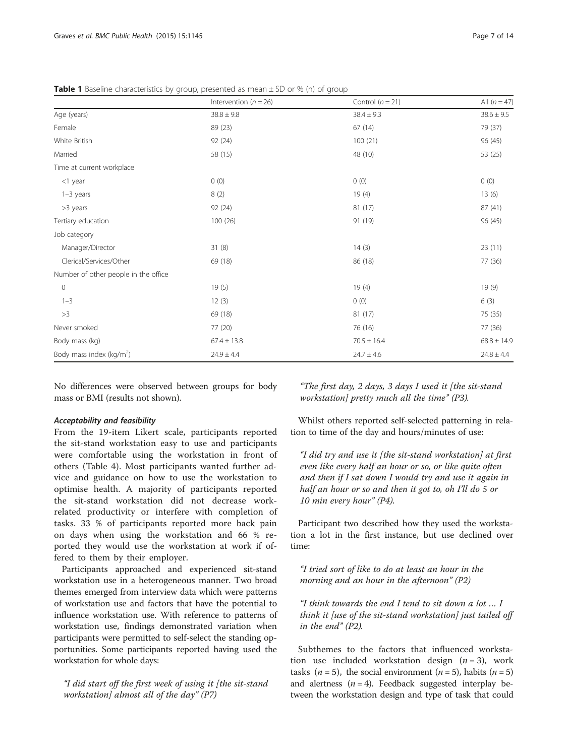|                                      | Intervention ( $n = 26$ ) | Control $(n = 21)$ | All $(n = 47)$  |
|--------------------------------------|---------------------------|--------------------|-----------------|
| Age (years)                          | $38.8 \pm 9.8$            | $38.4 \pm 9.3$     | $38.6 \pm 9.5$  |
| Female                               | 89 (23)                   | 67(14)             | 79 (37)         |
| White British                        | 92 (24)                   | 100(21)            | 96 (45)         |
| Married                              | 58 (15)                   | 48 (10)            | 53 (25)         |
| Time at current workplace            |                           |                    |                 |
| <1 year                              | 0(0)                      | 0(0)               | 0(0)            |
| $1-3$ years                          | 8(2)                      | 19(4)              | 13(6)           |
| >3 years                             | 92 (24)                   | 81(17)             | 87 (41)         |
| Tertiary education                   | 100(26)                   | 91 (19)            | 96 (45)         |
| Job category                         |                           |                    |                 |
| Manager/Director                     | 31(8)                     | 14(3)              | 23(11)          |
| Clerical/Services/Other              | 69 (18)                   | 86 (18)            | 77 (36)         |
| Number of other people in the office |                           |                    |                 |
| $\circ$                              | 19(5)                     | 19(4)              | 19(9)           |
| $1 - 3$                              | 12(3)                     | 0(0)               | 6(3)            |
| >3                                   | 69 (18)                   | 81 (17)            | 75 (35)         |
| Never smoked                         | 77 (20)                   | 76 (16)            | 77 (36)         |
| Body mass (kg)                       | $67.4 \pm 13.8$           | $70.5 \pm 16.4$    | $68.8 \pm 14.9$ |
| Body mass index ( $kg/m2$ )          | $24.9 \pm 4.4$            | $24.7 \pm 4.6$     | $24.8 \pm 4.4$  |

<span id="page-7-0"></span>**Table 1** Baseline characteristics by group, presented as mean  $\pm$  SD or % (n) of group

No differences were observed between groups for body mass or BMI (results not shown).

#### Acceptability and feasibility

From the 19-item Likert scale, participants reported the sit-stand workstation easy to use and participants were comfortable using the workstation in front of others (Table [4\)](#page-10-0). Most participants wanted further advice and guidance on how to use the workstation to optimise health. A majority of participants reported the sit-stand workstation did not decrease workrelated productivity or interfere with completion of tasks. 33 % of participants reported more back pain on days when using the workstation and 66 % reported they would use the workstation at work if offered to them by their employer.

Participants approached and experienced sit-stand workstation use in a heterogeneous manner. Two broad themes emerged from interview data which were patterns of workstation use and factors that have the potential to influence workstation use. With reference to patterns of workstation use, findings demonstrated variation when participants were permitted to self-select the standing opportunities. Some participants reported having used the workstation for whole days:

"I did start off the first week of using it [the sit-stand workstation] almost all of the day" (P7)

"The first day, 2 days, 3 days I used it [the sit-stand workstation] pretty much all the time" (P3).

Whilst others reported self-selected patterning in relation to time of the day and hours/minutes of use:

"I did try and use it [the sit-stand workstation] at first even like every half an hour or so, or like quite often and then if I sat down I would try and use it again in half an hour or so and then it got to, oh I'll do 5 or 10 min every hour" (P4).

Participant two described how they used the workstation a lot in the first instance, but use declined over time:

"I tried sort of like to do at least an hour in the morning and an hour in the afternoon" (P2)

"I think towards the end I tend to sit down a lot … I think it [use of the sit-stand workstation] just tailed off in the end"  $(P2)$ .

Subthemes to the factors that influenced workstation use included workstation design  $(n = 3)$ , work tasks ( $n = 5$ ), the social environment ( $n = 5$ ), habits ( $n = 5$ ) and alertness  $(n = 4)$ . Feedback suggested interplay between the workstation design and type of task that could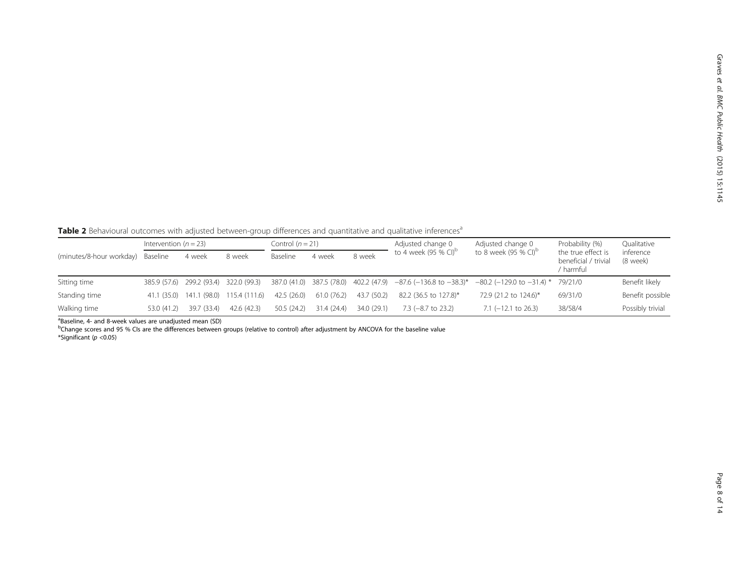<span id="page-8-0"></span>Table 2 Behavioural outcomes with adjusted between-group differences and quantitative and qualitative inferences<sup>a</sup>

|                          | Intervention $(n = 23)$ |                           | Control $(n=21)$           |             | Adjusted change 0 | Adjusted change 0 | Probability (%)                                                      | Qualitative                            |                                                         |                       |
|--------------------------|-------------------------|---------------------------|----------------------------|-------------|-------------------|-------------------|----------------------------------------------------------------------|----------------------------------------|---------------------------------------------------------|-----------------------|
| (minutes/8-hour workday) | Baseline                | 4 week                    | 8 week                     | Baseline    | 4 week            | 8 week            | to 4 week (95 % CI) <sup>b</sup>                                     | to 8 week (95 % CI) <sup>b</sup>       | the true effect is<br>beneficial / trivial<br>/ harmful | inference<br>(8 week) |
| Sitting time             | 385.9 (57.6)            | 299.2 (93.4) 322.0 (99.3) |                            |             |                   |                   | 387.0 (41.0) 387.5 (78.0) 402.2 (47.9) $-87.6$ (-136.8 to $-38.3$ )* | $-80.2$ (-129.0 to $-31.4$ ) * 79/21/0 |                                                         | Benefit likely        |
| Standing time            | 41.1 (35.0)             |                           | 141.1 (98.0) 115.4 (111.6) | 42.5 (26.0) | 61.0 (76.2)       | 43.7 (50.2)       | 82.2 (36.5 to 127.8)*                                                | 72.9 (21.2 to 124.6)*                  | 69/31/0                                                 | Benefit possible      |
| Walking time             | 53.0 (41.2)             | 39.7 (33.4)               | 42.6(42.3)                 | 50.5 (24.2) | 31.4 (24.4)       | 34.0 (29.1)       | $7.3$ (-8.7 to 23.2)                                                 | $7.1$ (-12.1 to 26.3)                  | 38/58/4                                                 | Possibly trivial      |

<sup>a</sup>Baseline, 4- and 8-week values are unadjusted mean (SD)<br><sup>b</sup>Change scores and 95 % CIs are the differences between groups (relative to control) after adjustment by ANCOVA for the baseline value

\*Significant ( $p$  <0.05)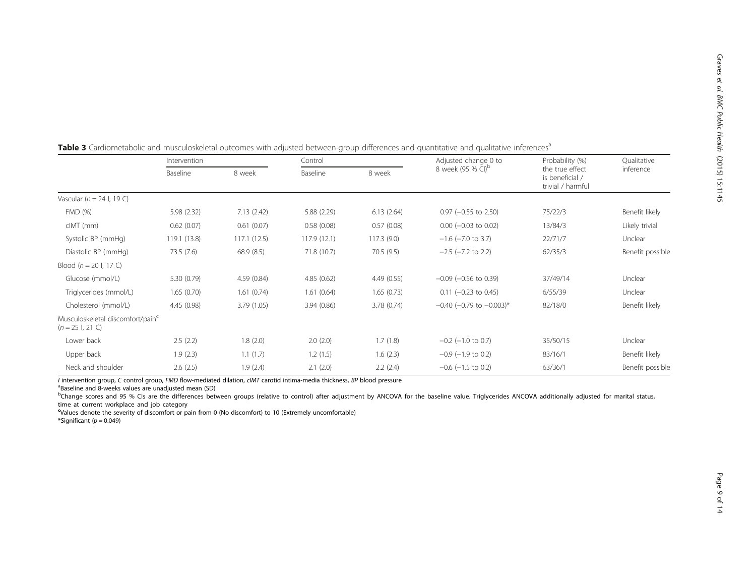|                                                                    | Intervention |             | Control     |            | Adjusted change 0 to          | Probability (%)                                         | Qualitative      |
|--------------------------------------------------------------------|--------------|-------------|-------------|------------|-------------------------------|---------------------------------------------------------|------------------|
|                                                                    | Baseline     | 8 week      | Baseline    | 8 week     | 8 week (95 % CI) <sup>b</sup> | the true effect<br>is beneficial /<br>trivial / harmful | inference        |
| Vascular ( $n = 24$ I, 19 C)                                       |              |             |             |            |                               |                                                         |                  |
| <b>FMD (%)</b>                                                     | 5.98 (2.32)  | 7.13(2.42)  | 5.88 (2.29) | 6.13(2.64) | $0.97$ (-0.55 to 2.50)        | 75/22/3                                                 | Benefit likely   |
| $clMT$ (mm)                                                        | 0.62(0.07)   | 0.61(0.07)  | 0.58(0.08)  | 0.57(0.08) | $0.00$ (-0.03 to 0.02)        | 13/84/3                                                 | Likely trivial   |
| Systolic BP (mmHg)                                                 | 119.1 (13.8) | 117.1(12.5) | 117.9(12.1) | 117.3(9.0) | $-1.6$ ( $-7.0$ to 3.7)       | 22/71/7                                                 | Unclear          |
| Diastolic BP (mmHg)                                                | 73.5(7.6)    | 68.9 (8.5)  | 71.8 (10.7) | 70.5(9.5)  | $-2.5$ ( $-7.2$ to 2.2)       | 62/35/3                                                 | Benefit possible |
| Blood ( $n = 20$ I, 17 C)                                          |              |             |             |            |                               |                                                         |                  |
| Glucose (mmol/L)                                                   | 5.30 (0.79)  | 4.59(0.84)  | 4.85(0.62)  | 4.49(0.55) | $-0.09$ ( $-0.56$ to 0.39)    | 37/49/14                                                | Unclear          |
| Triglycerides (mmol/L)                                             | 1.65(0.70)   | 1.61(0.74)  | 1.61(0.64)  | 1.65(0.73) | $0.11$ (-0.23 to 0.45)        | 6/55/39                                                 | Unclear          |
| Cholesterol (mmol/L)                                               | 4.45 (0.98)  | 3.79(1.05)  | 3.94(0.86)  | 3.78(0.74) | $-0.40$ (-0.79 to $-0.003$ )* | 82/18/0                                                 | Benefit likely   |
| Musculoskeletal discomfort/pain <sup>c</sup><br>$(n = 25$ I, 21 C) |              |             |             |            |                               |                                                         |                  |
| Lower back                                                         | 2.5(2.2)     | 1.8(2.0)    | 2.0(2.0)    | 1.7(1.8)   | $-0.2$ ( $-1.0$ to 0.7)       | 35/50/15                                                | Unclear          |
| Upper back                                                         | 1.9(2.3)     | 1.1(1.7)    | 1.2(1.5)    | 1.6(2.3)   | $-0.9$ ( $-1.9$ to 0.2)       | 83/16/1                                                 | Benefit likely   |
| Neck and shoulder                                                  | 2.6(2.5)     | 1.9(2.4)    | 2.1(2.0)    | 2.2(2.4)   | $-0.6$ ( $-1.5$ to 0.2)       | 63/36/1                                                 | Benefit possible |

#### <span id="page-9-0"></span>Table 3 Cardiometabolic and musculoskeletal outcomes with adjusted between-group differences and quantitative and qualitative inferences<sup>a</sup>

I intervention group, C control group, FMD flow-mediated dilation, cIMT carotid intima-media thickness, BP blood pressure

Baseline and 8-weeks values are unadjusted mean (SD)

<sup>b</sup>Change scores and 95 % CIs are the differences between groups (relative to control) after adjustment by ANCOVA for the baseline value. Triglycerides ANCOVA additionally adjusted for marital status, time at current workplace and job category

Values denote the severity of discomfort or pain from 0 (No discomfort) to 10 (Extremely uncomfortable)

\*Significant ( $p = 0.049$ )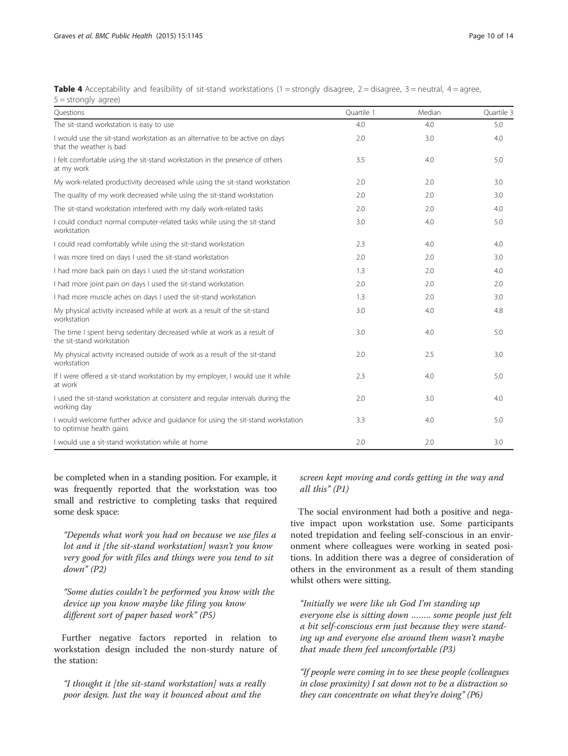<span id="page-10-0"></span>

| Table 4 Acceptability and feasibility of sit-stand workstations (1 = strongly disagree, 2 = disagree, 3 = neutral, 4 = agree, |  |  |  |  |
|-------------------------------------------------------------------------------------------------------------------------------|--|--|--|--|
| $5 =$ strongly agree)                                                                                                         |  |  |  |  |

| Questions                                                                                                   | Quartile 1 | Median | Quartile 3 |
|-------------------------------------------------------------------------------------------------------------|------------|--------|------------|
| The sit-stand workstation is easy to use                                                                    | 4.0        | 4.0    | 5.0        |
| I would use the sit-stand workstation as an alternative to be active on days<br>that the weather is bad     | 2.0        | 3.0    | 4.0        |
| I felt comfortable using the sit-stand workstation in the presence of others<br>at my work                  | 3.5        | 4.0    | 5.0        |
| My work-related productivity decreased while using the sit-stand workstation                                | 2.0        | 2.0    | 3.0        |
| The quality of my work decreased while using the sit-stand workstation                                      | 2.0        | 2.0    | 3.0        |
| The sit-stand workstation interfered with my daily work-related tasks                                       | 2.0        | 2.0    | 4.0        |
| I could conduct normal computer-related tasks while using the sit-stand<br>workstation                      | 3.0        | 4.0    | 5.0        |
| I could read comfortably while using the sit-stand workstation                                              | 2.3        | 4.0    | 4.0        |
| I was more tired on days I used the sit-stand workstation                                                   | 2.0        | 2.0    | 3.0        |
| I had more back pain on days I used the sit-stand workstation                                               | 1.3        | 2.0    | 4.0        |
| I had more joint pain on days I used the sit-stand workstation                                              | 2.0        | 2.0    | 2.0        |
| I had more muscle aches on days I used the sit-stand workstation                                            | 1.3        | 2.0    | 3.0        |
| My physical activity increased while at work as a result of the sit-stand<br>workstation                    | 3.0        | 4.0    | 4.8        |
| The time I spent being sedentary decreased while at work as a result of<br>the sit-stand workstation        | 3.0        | 4.0    | 5.0        |
| My physical activity increased outside of work as a result of the sit-stand<br>workstation                  | 2.0        | 2.5    | 3.0        |
| If I were offered a sit-stand workstation by my employer, I would use it while<br>at work                   | 2.3        | 4.0    | 5.0        |
| I used the sit-stand workstation at consistent and regular intervals during the<br>working day              | 2.0        | 3.0    | 4.0        |
| I would welcome further advice and quidance for using the sit-stand workstation<br>to optimise health gains | 3.3        | 4.0    | 5.0        |
| I would use a sit-stand workstation while at home                                                           | 2.0        | 2.0    | 3.0        |

be completed when in a standing position. For example, it was frequently reported that the workstation was too small and restrictive to completing tasks that required some desk space:

"Depends what work you had on because we use files a lot and it [the sit-stand workstation] wasn't you know very good for with files and things were you tend to sit down" (P2)

"Some duties couldn't be performed you know with the device up you know maybe like filing you know different sort of paper based work" (P5)

Further negative factors reported in relation to workstation design included the non-sturdy nature of the station:

"I thought it [the sit-stand workstation] was a really poor design. Just the way it bounced about and the

screen kept moving and cords getting in the way and all this" (P1)

The social environment had both a positive and negative impact upon workstation use. Some participants noted trepidation and feeling self-conscious in an environment where colleagues were working in seated positions. In addition there was a degree of consideration of others in the environment as a result of them standing whilst others were sitting.

"Initially we were like uh God I'm standing up everyone else is sitting down …….. some people just felt a bit self-conscious erm just because they were standing up and everyone else around them wasn't maybe that made them feel uncomfortable (P3)

"If people were coming in to see these people (colleagues in close proximity) I sat down not to be a distraction so they can concentrate on what they're doing" (P6)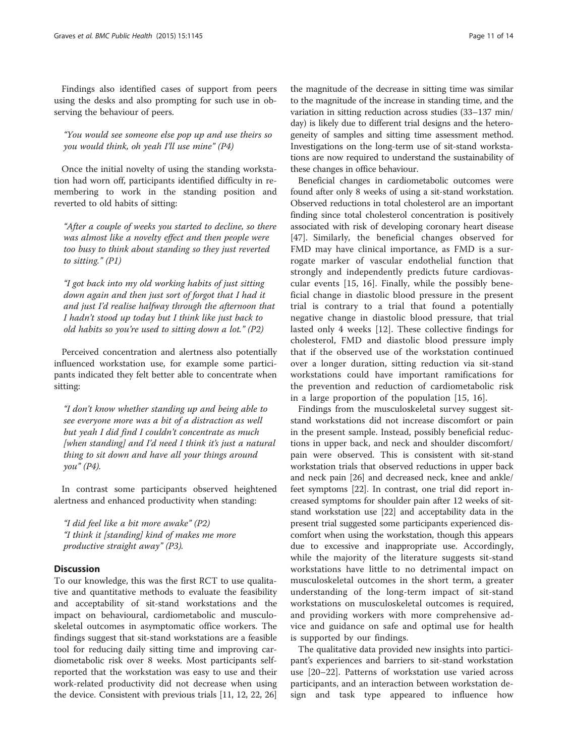Findings also identified cases of support from peers using the desks and also prompting for such use in observing the behaviour of peers.

"You would see someone else pop up and use theirs so you would think, oh yeah I'll use mine" (P4)

Once the initial novelty of using the standing workstation had worn off, participants identified difficulty in remembering to work in the standing position and reverted to old habits of sitting:

"After a couple of weeks you started to decline, so there was almost like a novelty effect and then people were too busy to think about standing so they just reverted to sitting." (P1)

"I got back into my old working habits of just sitting down again and then just sort of forgot that I had it and just I'd realise halfway through the afternoon that I hadn't stood up today but I think like just back to old habits so you're used to sitting down a lot."  $(P2)$ 

Perceived concentration and alertness also potentially influenced workstation use, for example some participants indicated they felt better able to concentrate when sitting:

"I don't know whether standing up and being able to see everyone more was a bit of a distraction as well but yeah I did find I couldn't concentrate as much [when standing] and I'd need I think it's just a natural thing to sit down and have all your things around  $\gamma$ ou" (P4).

In contrast some participants observed heightened alertness and enhanced productivity when standing:

"I did feel like a bit more awake" (P2) "I think it [standing] kind of makes me more productive straight away" (P3).

#### **Discussion**

To our knowledge, this was the first RCT to use qualitative and quantitative methods to evaluate the feasibility and acceptability of sit-stand workstations and the impact on behavioural, cardiometabolic and musculoskeletal outcomes in asymptomatic office workers. The findings suggest that sit-stand workstations are a feasible tool for reducing daily sitting time and improving cardiometabolic risk over 8 weeks. Most participants selfreported that the workstation was easy to use and their work-related productivity did not decrease when using the device. Consistent with previous trials [\[11, 12, 22, 26](#page-13-0)]

the magnitude of the decrease in sitting time was similar to the magnitude of the increase in standing time, and the variation in sitting reduction across studies (33–137 min/ day) is likely due to different trial designs and the heterogeneity of samples and sitting time assessment method. Investigations on the long-term use of sit-stand workstations are now required to understand the sustainability of these changes in office behaviour.

Beneficial changes in cardiometabolic outcomes were found after only 8 weeks of using a sit-stand workstation. Observed reductions in total cholesterol are an important finding since total cholesterol concentration is positively associated with risk of developing coronary heart disease [[47](#page-14-0)]. Similarly, the beneficial changes observed for FMD may have clinical importance, as FMD is a surrogate marker of vascular endothelial function that strongly and independently predicts future cardiovascular events [[15, 16](#page-13-0)]. Finally, while the possibly beneficial change in diastolic blood pressure in the present trial is contrary to a trial that found a potentially negative change in diastolic blood pressure, that trial lasted only 4 weeks [[12\]](#page-13-0). These collective findings for cholesterol, FMD and diastolic blood pressure imply that if the observed use of the workstation continued over a longer duration, sitting reduction via sit-stand workstations could have important ramifications for the prevention and reduction of cardiometabolic risk in a large proportion of the population [[15, 16\]](#page-13-0).

Findings from the musculoskeletal survey suggest sitstand workstations did not increase discomfort or pain in the present sample. Instead, possibly beneficial reductions in upper back, and neck and shoulder discomfort/ pain were observed. This is consistent with sit-stand workstation trials that observed reductions in upper back and neck pain [[26\]](#page-13-0) and decreased neck, knee and ankle/ feet symptoms [[22](#page-13-0)]. In contrast, one trial did report increased symptoms for shoulder pain after 12 weeks of sitstand workstation use [[22](#page-13-0)] and acceptability data in the present trial suggested some participants experienced discomfort when using the workstation, though this appears due to excessive and inappropriate use. Accordingly, while the majority of the literature suggests sit-stand workstations have little to no detrimental impact on musculoskeletal outcomes in the short term, a greater understanding of the long-term impact of sit-stand workstations on musculoskeletal outcomes is required, and providing workers with more comprehensive advice and guidance on safe and optimal use for health is supported by our findings.

The qualitative data provided new insights into participant's experiences and barriers to sit-stand workstation use [\[20](#page-13-0)–[22\]](#page-13-0). Patterns of workstation use varied across participants, and an interaction between workstation design and task type appeared to influence how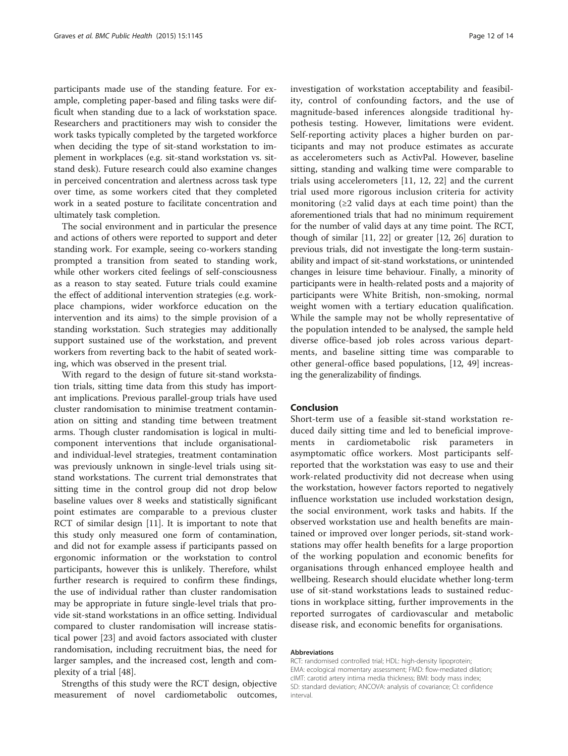participants made use of the standing feature. For example, completing paper-based and filing tasks were difficult when standing due to a lack of workstation space. Researchers and practitioners may wish to consider the work tasks typically completed by the targeted workforce when deciding the type of sit-stand workstation to implement in workplaces (e.g. sit-stand workstation vs. sitstand desk). Future research could also examine changes in perceived concentration and alertness across task type over time, as some workers cited that they completed work in a seated posture to facilitate concentration and ultimately task completion.

The social environment and in particular the presence and actions of others were reported to support and deter standing work. For example, seeing co-workers standing prompted a transition from seated to standing work, while other workers cited feelings of self-consciousness as a reason to stay seated. Future trials could examine the effect of additional intervention strategies (e.g. workplace champions, wider workforce education on the intervention and its aims) to the simple provision of a standing workstation. Such strategies may additionally support sustained use of the workstation, and prevent workers from reverting back to the habit of seated working, which was observed in the present trial.

With regard to the design of future sit-stand workstation trials, sitting time data from this study has important implications. Previous parallel-group trials have used cluster randomisation to minimise treatment contamination on sitting and standing time between treatment arms. Though cluster randomisation is logical in multicomponent interventions that include organisationaland individual-level strategies, treatment contamination was previously unknown in single-level trials using sitstand workstations. The current trial demonstrates that sitting time in the control group did not drop below baseline values over 8 weeks and statistically significant point estimates are comparable to a previous cluster RCT of similar design [\[11](#page-13-0)]. It is important to note that this study only measured one form of contamination, and did not for example assess if participants passed on ergonomic information or the workstation to control participants, however this is unlikely. Therefore, whilst further research is required to confirm these findings, the use of individual rather than cluster randomisation may be appropriate in future single-level trials that provide sit-stand workstations in an office setting. Individual compared to cluster randomisation will increase statistical power [\[23](#page-13-0)] and avoid factors associated with cluster randomisation, including recruitment bias, the need for larger samples, and the increased cost, length and complexity of a trial [\[48](#page-14-0)].

Strengths of this study were the RCT design, objective measurement of novel cardiometabolic outcomes, investigation of workstation acceptability and feasibility, control of confounding factors, and the use of magnitude-based inferences alongside traditional hypothesis testing. However, limitations were evident. Self-reporting activity places a higher burden on participants and may not produce estimates as accurate as accelerometers such as ActivPal. However, baseline sitting, standing and walking time were comparable to trials using accelerometers [[11, 12, 22](#page-13-0)] and the current trial used more rigorous inclusion criteria for activity monitoring  $(≥2$  valid days at each time point) than the aforementioned trials that had no minimum requirement for the number of valid days at any time point. The RCT, though of similar [\[11, 22](#page-13-0)] or greater [[12](#page-13-0), [26\]](#page-13-0) duration to previous trials, did not investigate the long-term sustainability and impact of sit-stand workstations, or unintended changes in leisure time behaviour. Finally, a minority of participants were in health-related posts and a majority of participants were White British, non-smoking, normal weight women with a tertiary education qualification. While the sample may not be wholly representative of the population intended to be analysed, the sample held diverse office-based job roles across various departments, and baseline sitting time was comparable to other general-office based populations, [[12](#page-13-0), [49\]](#page-14-0) increasing the generalizability of findings.

#### Conclusion

Short-term use of a feasible sit-stand workstation reduced daily sitting time and led to beneficial improvements in cardiometabolic risk parameters in asymptomatic office workers. Most participants selfreported that the workstation was easy to use and their work-related productivity did not decrease when using the workstation, however factors reported to negatively influence workstation use included workstation design, the social environment, work tasks and habits. If the observed workstation use and health benefits are maintained or improved over longer periods, sit-stand workstations may offer health benefits for a large proportion of the working population and economic benefits for organisations through enhanced employee health and wellbeing. Research should elucidate whether long-term use of sit-stand workstations leads to sustained reductions in workplace sitting, further improvements in the reported surrogates of cardiovascular and metabolic disease risk, and economic benefits for organisations.

#### Abbreviations

RCT: randomised controlled trial; HDL: high-density lipoprotein; EMA: ecological momentary assessment; FMD: flow-mediated dilation; cIMT: carotid artery intima media thickness; BMI: body mass index; SD: standard deviation; ANCOVA: analysis of covariance; CI: confidence interval.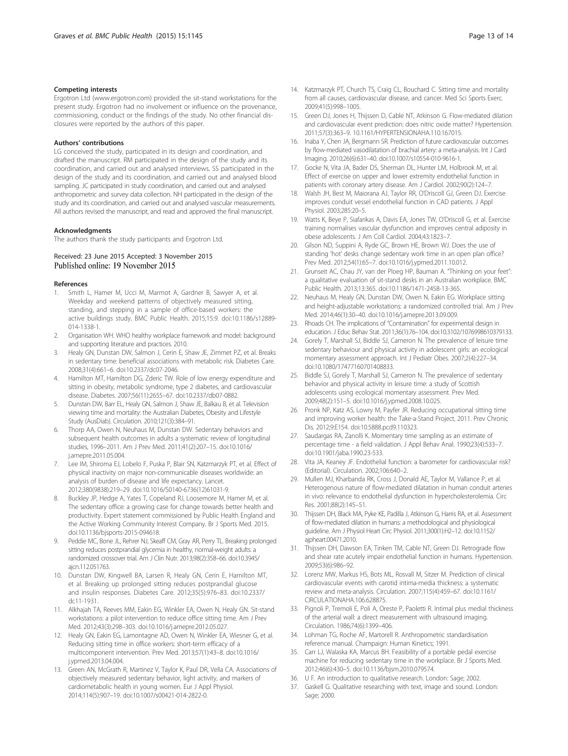#### <span id="page-13-0"></span>Competing interests

Ergotron Ltd ([www.ergotron.com](http://www.ergotron.com/)) provided the sit-stand workstations for the present study. Ergotron had no involvement or influence on the provenance, commissioning, conduct or the findings of the study. No other financial disclosures were reported by the authors of this paper.

#### Authors' contributions

LG conceived the study, participated in its design and coordination, and drafted the manuscript. RM participated in the design of the study and its coordination, and carried out and analysed interviews. SS participated in the design of the study and its coordination, and carried out and analysed blood sampling. JC participated in study coordination, and carried out and analysed anthropometric and survey data collection. NH participated in the design of the study and its coordination, and carried out and analysed vascular measurements. All authors revised the manuscript, and read and approved the final manuscript.

#### Acknowledgments

The authors thank the study participants and Ergotron Ltd.

## Received: 23 June 2015 Accepted: 3 November 2015<br>Published online: 19 November 2015

#### References

- 1. Smith L, Hamer M, Ucci M, Marmot A, Gardner B, Sawyer A, et al. Weekday and weekend patterns of objectively measured sitting, standing, and stepping in a sample of office-based workers: the active buildings study. BMC Public Health. 2015;15:9. doi[:10.1186/s12889-](http://dx.doi.org/10.1186/s12889-014-1338-1) [014-1338-1.](http://dx.doi.org/10.1186/s12889-014-1338-1)
- 2. Organisation WH. WHO healthy workplace framework and model: background and supporting literature and practices. 2010.
- Healy GN, Dunstan DW, Salmon J, Cerin E, Shaw JE, Zimmet PZ, et al. Breaks in sedentary time: beneficial associations with metabolic risk. Diabetes Care. 2008;31(4):661–6. doi[:10.2337/dc07-2046](http://dx.doi.org/10.1186/10.2337/dc07-2046).
- 4. Hamilton MT, Hamilton DG, Zderic TW. Role of low energy expenditure and sitting in obesity, metabolic syndrome, type 2 diabetes, and cardiovascular disease. Diabetes. 2007;56(11):2655–67. doi:[10.2337/db07-0882.](http://dx.doi.org/10.1186/10.2337/db07-0882)
- 5. Dunstan DW, Barr EL, Healy GN, Salmon J, Shaw JE, Balkau B, et al. Television viewing time and mortality: the Australian Diabetes, Obesity and Lifestyle Study (AusDiab). Circulation. 2010;121(3):384–91.
- Thorp AA, Owen N, Neuhaus M, Dunstan DW. Sedentary behaviors and subsequent health outcomes in adults a systematic review of longitudinal studies, 1996–2011. Am J Prev Med. 2011;41(2):207–15. doi[:10.1016/](http://dx.doi.org/10.1186/10.1016/j.amepre.2011.05.004) [j.amepre.2011.05.004](http://dx.doi.org/10.1186/10.1016/j.amepre.2011.05.004).
- 7. Lee IM, Shiroma EJ, Lobelo F, Puska P, Blair SN, Katzmarzyk PT, et al. Effect of physical inactivity on major non-communicable diseases worldwide: an analysis of burden of disease and life expectancy. Lancet. 2012;380(9838):219–29. doi:[10.1016/S0140-6736\(12\)61031-9](http://dx.doi.org/10.1186/10.1016/S0140-6736(12)61031-9).
- Buckley JP, Hedge A, Yates T, Copeland RJ, Loosemore M, Hamer M, et al. The sedentary office: a growing case for change towards better health and productivity. Expert statement commissioned by Public Health England and the Active Working Community Interest Company. Br J Sports Med. 2015. doi[:10.1136/bjsports-2015-094618.](http://dx.doi.org/10.1186/10.1136/bjsports-2015-094618)
- Peddie MC, Bone JL, Rehrer NJ, Skeaff CM, Gray AR, Perry TL. Breaking prolonged sitting reduces postprandial glycemia in healthy, normal-weight adults: a randomized crossover trial. Am J Clin Nutr. 2013;98(2):358–66. doi[:10.3945/](http://dx.doi.org/10.1186/10.3945/ajcn.112.051763) [ajcn.112.051763](http://dx.doi.org/10.1186/10.3945/ajcn.112.051763).
- 10. Dunstan DW, Kingwell BA, Larsen R, Healy GN, Cerin E, Hamilton MT, et al. Breaking up prolonged sitting reduces postprandial glucose and insulin responses. Diabetes Care. 2012;35(5):976–83. doi:[10.2337/](http://dx.doi.org/10.1186/10.2337/dc11-1931) [dc11-1931](http://dx.doi.org/10.1186/10.2337/dc11-1931).
- 11. Alkhajah TA, Reeves MM, Eakin EG, Winkler EA, Owen N, Healy GN. Sit-stand workstations: a pilot intervention to reduce office sitting time. Am J Prev Med. 2012;43(3):298–303. doi[:10.1016/j.amepre.2012.05.027](http://dx.doi.org/10.1186/10.1016/j.amepre.2012.05.027).
- 12. Healy GN, Eakin EG, Lamontagne AD, Owen N, Winkler EA, Wiesner G, et al. Reducing sitting time in office workers: short-term efficacy of a multicomponent intervention. Prev Med. 2013;57(1):43–8. doi:[10.1016/](http://dx.doi.org/10.1186/10.1016/j.ypmed.2013.04.004) [j.ypmed.2013.04.004.](http://dx.doi.org/10.1186/10.1016/j.ypmed.2013.04.004)
- 13. Green AN, McGrath R, Martinez V, Taylor K, Paul DR, Vella CA. Associations of objectively measured sedentary behavior, light activity, and markers of cardiometabolic health in young women. Eur J Appl Physiol. 2014;114(5):907–19. doi[:10.1007/s00421-014-2822-0.](http://dx.doi.org/10.1186/10.1007/s00421-014-2822-0)
- 14. Katzmarzyk PT, Church TS, Craig CL, Bouchard C. Sitting time and mortality from all causes, cardiovascular disease, and cancer. Med Sci Sports Exerc. 2009;41(5):998–1005.
- 15. Green DJ, Jones H, Thijssen D, Cable NT, Atkinson G. Flow-mediated dilation and cardiovascular event prediction: does nitric oxide matter? Hypertension. 2011;57(3):363–9. [10.1161/HYPERTENSIONAHA.110.167015.](http://dx.doi.org/10.1186/10.1161/HYPERTENSIONAHA.110.167015)
- 16. Inaba Y, Chen JA, Bergmann SR. Prediction of future cardiovascular outcomes by flow-mediated vasodilatation of brachial artery: a meta-analysis. Int J Card Imaging. 2010;26(6):631–40. doi:[10.1007/s10554-010-9616-1.](http://dx.doi.org/10.1186/10.1007/s10554-010-9616-1)
- 17. Gocke N, Vita JA, Bader DS, Sherman DL, Hunter LM, Holbrook M, et al. Effect of exercise on upper and lower extremity endothelial function in patients with coronary artery disease. Am J Cardiol. 2002;90(2):124–7.
- 18. Walsh JH, Best M, Maiorana AJ, Taylor RR, O'Driscoll GJ, Green DJ. Exercise improves conduit vessel endothelial function in CAD patients. J Appl Physiol. 2003;285:20–5.
- 19. Watts K, Beye P, Siafarikas A, Davis EA, Jones TW, O'Driscoll G, et al. Exercise training normalises vascular dysfunction and improves central adiposity in obese adolescents. J Am Coll Cardiol. 2004;43:1823–7.
- 20. Gilson ND, Suppini A, Ryde GC, Brown HE, Brown WJ. Does the use of standing 'hot' desks change sedentary work time in an open plan office? Prev Med. 2012;54(1):65–7. doi:[10.1016/j.ypmed.2011.10.012.](http://dx.doi.org/10.1186/10.1016/j.ypmed.2011.10.012)
- 21. Grunseit AC, Chau JY, van der Ploeg HP, Bauman A. "Thinking on your feet": a qualitative evaluation of sit-stand desks in an Australian workplace. BMC Public Health. 2013;13:365. doi:[10.1186/1471-2458-13-365](http://dx.doi.org/10.1186/1471-2458-13-365).
- 22. Neuhaus M, Healy GN, Dunstan DW, Owen N, Eakin EG. Workplace sitting and height-adjustable workstations: a randomized controlled trial. Am J Prev Med. 2014;46(1):30–40. doi:[10.1016/j.amepre.2013.09.009](http://dx.doi.org/10.1186/10.1016/j.amepre.2013.09.009).
- 23. Rhoads CH. The implications of "Contamination" for experimental design in education. J Educ Behav Stat. 2011;36(1):76–104. doi[:10.3102/1076998610379133.](http://dx.doi.org/10.1186/10.3102/1076998610379133)
- 24. Gorely T, Marshall SJ, Biddle SJ, Cameron N. The prevalence of leisure time sedentary behaviour and physical activity in adolescent girls: an ecological momentary assessment approach. Int J Pediatr Obes. 2007;2(4):227–34. doi[:10.1080/17477160701408833](http://dx.doi.org/10.1186/10.1080/17477160701408833).
- 25. Biddle SJ, Gorely T, Marshall SJ, Cameron N. The prevalence of sedentary behavior and physical activity in leisure time: a study of Scottish adolescents using ecological momentary assessment. Prev Med. 2009;48(2):151–5. doi:[10.1016/j.ypmed.2008.10.025.](http://dx.doi.org/10.1186/10.1016/j.ypmed.2008.10.025)
- 26. Pronk NP, Katz AS, Lowry M, Payfer JR. Reducing occupational sitting time and improving worker health: the Take-a-Stand Project, 2011. Prev Chronic Dis. 2012;9:E154. doi[:10.5888.pcd9.110323](http://dx.doi.org/10.1186/10.5888.pcd9.110323).
- 27. Saudargas RA, Zanolli K. Momentary time sampling as an estimate of percentage time - a field validation. J Appl Behav Anal. 1990;23(4):533–7. doi[:10.1901/jaba.1990.23-533.](http://dx.doi.org/10.1186/10.1901/jaba.1990.23-533)
- 28. Vita JA, Keaney JF. Endothelial function: a barometer for cardiovascular risk? (Editorial). Circulation. 2002;106:640–2.
- 29. Mullen MJ, Kharbanda RK, Cross J, Donald AE, Taylor M, Vallance P, et al. Heterogenous nature of flow-mediated dilatation in human conduit arteries in vivo: relevance to endothelial dysfunction in hypercholesterolemia. Circ Res. 2001;88(2):145–51.
- 30. Thijssen DH, Black MA, Pyke KE, Padilla J, Atkinson G, Harris RA, et al. Assessment of flow-mediated dilation in humans: a methodological and physiological guideline. Am J Physiol Heart Circ Physiol. 2011;300(1):H2–12. doi[:10.1152/](http://dx.doi.org/10.1186/10.1152/ajpheart.00471.2010) [ajpheart.00471.2010](http://dx.doi.org/10.1186/10.1152/ajpheart.00471.2010).
- 31. Thijssen DH, Dawson EA, Tinken TM, Cable NT, Green DJ. Retrograde flow and shear rate acutely impair endothelial function in humans. Hypertension. 2009;53(6):986–92.
- 32. Lorenz MW, Markus HS, Bots ML, Rosvall M, Sitzer M. Prediction of clinical cardiovascular events with carotid intima-media thickness: a systematic review and meta-analysis. Circulation. 2007;115(4):459–67. doi[:10.1161/](http://dx.doi.org/10.1186/10.1161/CIRCULATIONAHA.106.628875) [CIRCULATIONAHA.106.628875](http://dx.doi.org/10.1186/10.1161/CIRCULATIONAHA.106.628875).
- 33. Pignoli P, Tremoli E, Poli A, Oreste P, Paoletti R. Intimal plus medial thickness of the arterial wall: a direct measurement with ultrasound imaging. Circulation. 1986;74(6):1399–406.
- 34. Lohman TG, Roche AF, Martorell R. Anthropometric standardisation reference manual. Champaign: Human Kinetics; 1991.
- 35. Carr LJ, Walaska KA, Marcus BH. Feasibility of a portable pedal exercise machine for reducing sedentary time in the workplace. Br J Sports Med. 2012;46(6):430–5. doi:[10.1136/bjsm.2010.079574.](http://dx.doi.org/10.1186/10.1136/bjsm.2010.079574)
- 36. U F. An introduction to qualitative research. London: Sage; 2002.
- 37. Gaskell G. Qualitative researching with text, image and sound. London: Sage; 2000.